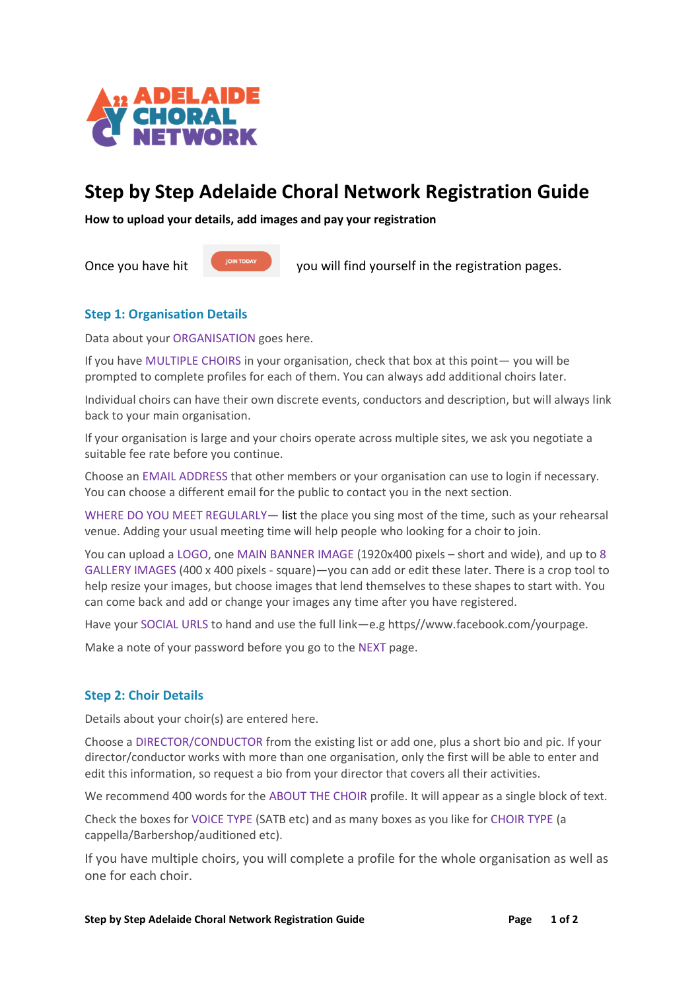

# **Step by Step Adelaide Choral Network Registration Guide**

**How to upload your details, add images and pay your registration** 

Once you have hit you will find yourself in the registration pages.

## **Step 1: Organisation Details**

Data about your ORGANISATION goes here.

If you have MULTIPLE CHOIRS in your organisation, check that box at this point— you will be prompted to complete profiles for each of them. You can always add additional choirs later.

Individual choirs can have their own discrete events, conductors and description, but will always link back to your main organisation.

If your organisation is large and your choirs operate across multiple sites, we ask you negotiate a suitable fee rate before you continue.

Choose an EMAIL ADDRESS that other members or your organisation can use to login if necessary. You can choose a different email for the public to contact you in the next section.

WHERE DO YOU MEET REGULARLY— list the place you sing most of the time, such as your rehearsal venue. Adding your usual meeting time will help people who looking for a choir to join.

You can upload a LOGO, one MAIN BANNER IMAGE (1920x400 pixels – short and wide), and up to 8 GALLERY IMAGES (400 x 400 pixels - square)—you can add or edit these later. There is a crop tool to help resize your images, but choose images that lend themselves to these shapes to start with. You can come back and add or change your images any time after you have registered.

Have your SOCIAL URLS to hand and use the full link—e.g https//www.facebook.com/yourpage.

Make a note of your password before you go to the NEXT page.

## **Step 2: Choir Details**

Details about your choir(s) are entered here.

Choose a DIRECTOR/CONDUCTOR from the existing list or add one, plus a short bio and pic. If your director/conductor works with more than one organisation, only the first will be able to enter and edit this information, so request a bio from your director that covers all their activities.

We recommend 400 words for the ABOUT THE CHOIR profile. It will appear as a single block of text.

Check the boxes for VOICE TYPE (SATB etc) and as many boxes as you like for CHOIR TYPE (a cappella/Barbershop/auditioned etc).

If you have multiple choirs, you will complete a profile for the whole organisation as well as one for each choir.